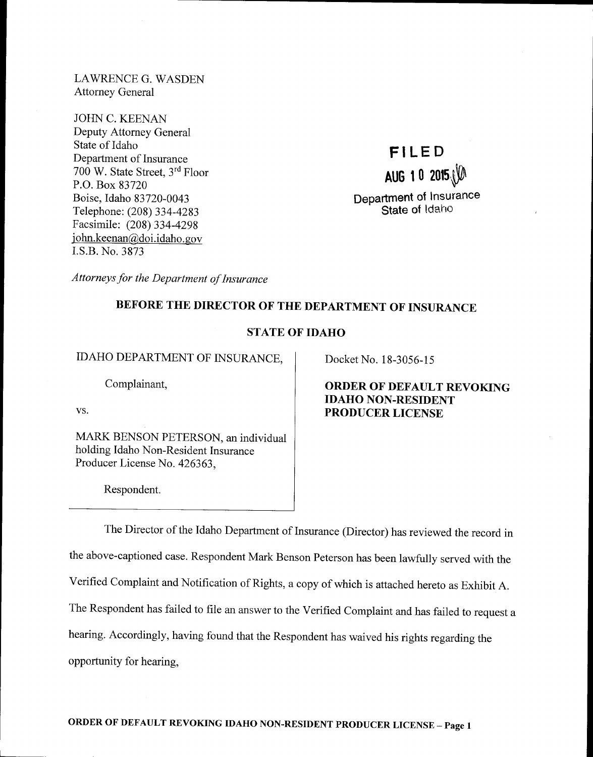LAWRENCE G. WASDEN Attorney General

JOHN C. KEENAN Deputy Attorney General State of Idaho Department of Insurance 700 W. State Street, 3'd Floor P.O. Box 83720 Boise, Idaho 83720-0043 Telephone: (208) 334-4283 Facsimile: (208) 334-4298 <sup>i</sup>ohn.keenan@doi.idaho. gov I.S.B. No. 3873

# FILED AUG 1 0  $2015$ Department of Insurance State of Idaho

Attorneys for the Department of Insurance

# BEFORE THE DIRECTOR OF THE DEPARTMENT OF INSURANCE

# STATE OF IDAHO

IDAHO DEPARTMENT OF INSURANCE,

Complainant,

VS.

MARK BENSON PETERSON, an individual holding Idaho Non-Resident Insurance Producer License No. 426363,

Respondent.

Docket No. 18-3056-15

# ORDER OF DEFAULT REYOKING IDAHO NON-RESIDENT PRODUCER LICENSE

The Director of the Idaho Department of Insurance (Director) has reviewed the record in the above-captioned case. Respondent Mark Benson Peterson has been lawfully served with the Verified Complaint and Notification of Rights, a copy of which is attached hereto as Exhibit A. The Respondent has failed to file an answer to the Verified Complaint and has failed to request <sup>a</sup> hearing. Accordingly, having found that the Respondent has waived his rights regarding the opportunity for hearing,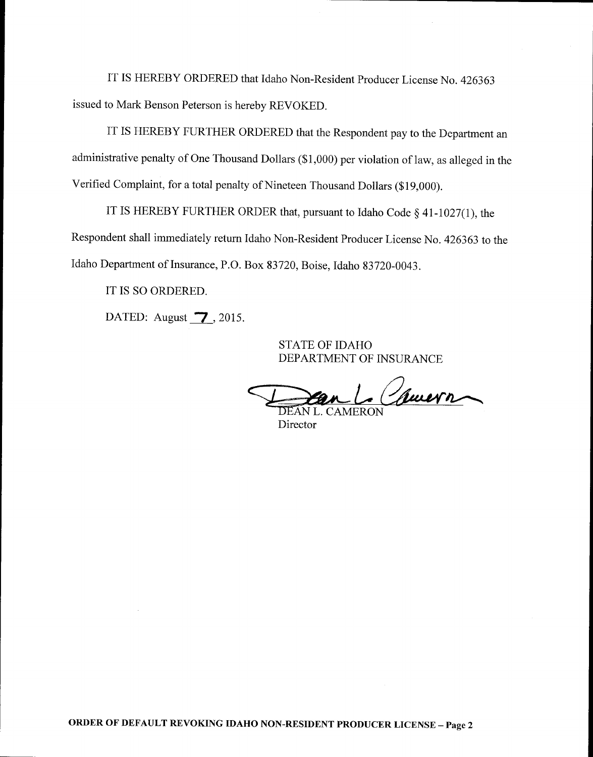IT IS HEREBY ORDERED that Idaho Non-Resident Producer License No. <sup>426363</sup> issued to Mark Benson Peterson is hereby REVOKED.

IT IS HEREBY FURTHER ORDERED that the Respondent pay to the Department an administrative penalty of One Thousand Dollars (\$1,000) per violation of law, as alleged in the Verified Complaint, for a total penalty of Nineteen Thousand Dollars (\$19,000).

IT IS HEREBY FURTHER ORDER that, pursuant to Idaho Code  $\S$  41-1027(1), the Respondent shall immediately retum Idaho Non-Resident Producer License No.426363 to the Idaho Department of Insurance, P.O. Box 83720, Boise, Idaho 83720-0043.

IT IS SO ORDERED.

DATED: August  $\overline{7}$ , 2015.

STATE OF IDAHO DEPARTMENT OF INSURANCE

1. Comern

DEAN L. CAMERON Director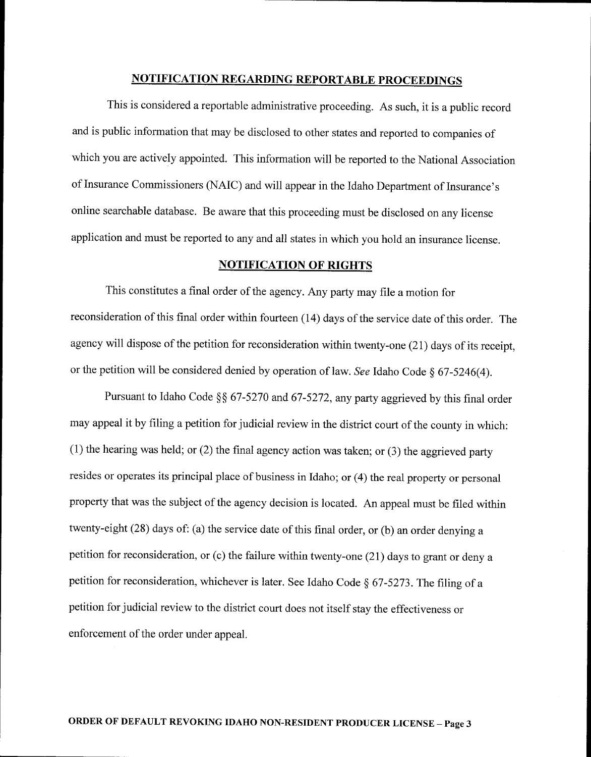# NOTIFICATION REGARDING REPORTABLE PROCEEDINGS

This is considered a reportable administrative proceeding. As such, it is a public record and is public information that may be disclosed to other states and reported to companies of which you are actively appointed. This information will be reported to the National Association of Insurance Commissioners (NAIC) and will appear in the Idaho Department of Insurance's online searchable database. Be aware that this proceeding must be disclosed on any license application and must be reported to any and all states in which you hold an insurance license.

#### NOTIFICATION OF RIGHTS

This constitutes a final order of the agency. Any party may file a motion for reconsideration of this final order within fourteen (14) days of the service date of this order. The agency will dispose of the petition for reconsideration within twenty-one (21) days of its receipt, or the petition will be considered denied by operation of law. See Idaho Code  $\S$  67-5246(4).

Pursuant to Idaho Code \$\$ 67-5270 and 67-5272, any party aggrieved by this final order may appeal it by filing a petition for judicial review in the district court of the county in which: (1) the hearing was held; or (2) the final agency action was taken; or (3) the aggrieved party resides or operates its principal place of business in Idaho; or (4) the real property or personal property that was the subject of the agency decision is located. An appeal must be filed within twenty-eight (28) days of: (a) the service date of this final order, or (b) an order denying <sup>a</sup> petition for reconsideration, or (c) the failure within twenty-one (21) days to grant or deny <sup>a</sup> petition for reconsideration, whichever is later. See Idaho Code § 67-5273. The filing of a petition for judicial review to the district court does not itself stay the effectiveness or enforcement of the order under appeal.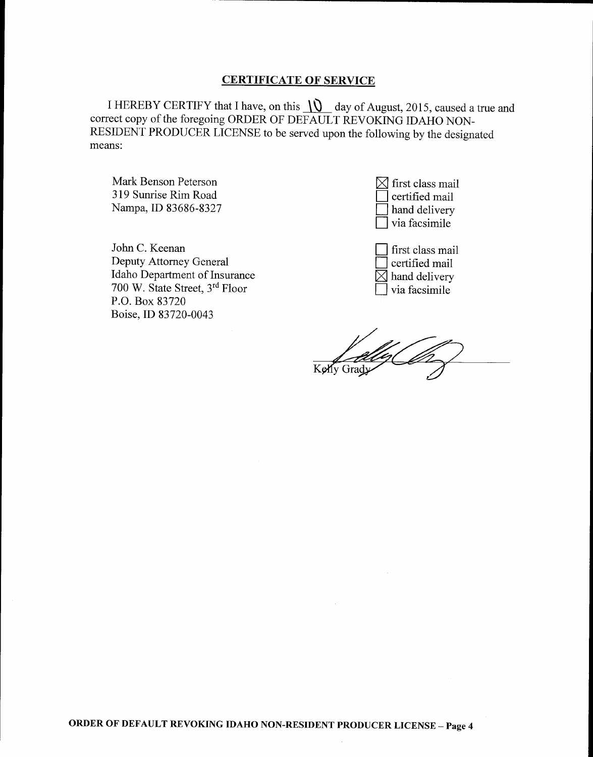### CERTIFICATE OF SERVICE

I HEREBY CERTIFY that I have, on this  $\iint$  day of August, 2015, caused a true and correct copy of the foregoing ORDER oF DEFAULT REVOKING IDAHO NoN-RESIDENT PRODUCER LICENSE to be served upon the following by the designated means:

Mark Benson Peterson 319 Sunrise Rim Road Nampa, ID 83686-8327

John C. Keenan Deputy Attorney General Idaho Department of Insurance 700 W. State Street, 3'd Floor P.O. Box 83720 Boise, ID 83720-0043

 $\triangleleft$  first class mail I certified mail I hand delivery I via facsimile

first class mail certified mail  $\boxtimes$  hand delivery via facsimile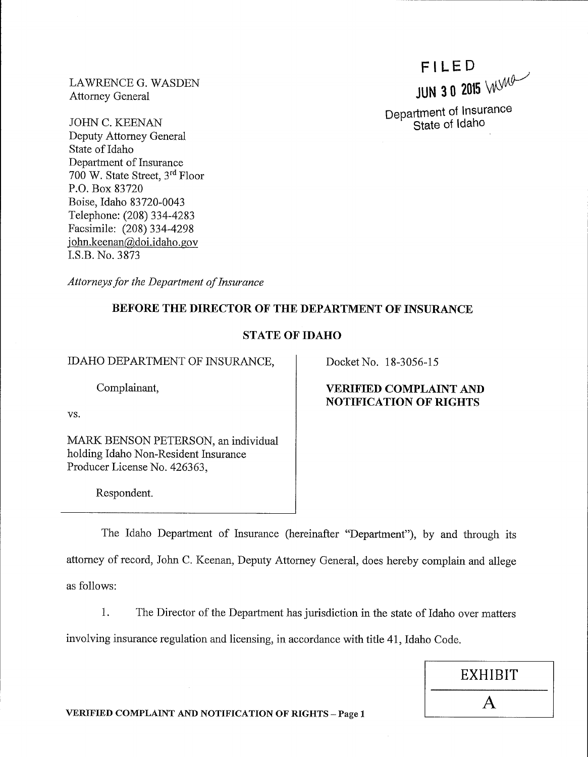LAWRENCE G. WASDEN Attorney General

JOHN C. KEENAN Deputy Attorney General State of Idaho Department of Insurance 700 W. State Street, 3<sup>rd</sup> Floor P.O. Box 83720 Boise, Idaho 83720-0043 Telephone: (208) 334-4283 Facsimile: (208) 334-4298 <sup>j</sup>ohn.keenan@doi.idaho. gov I.S.B. No. 3873

Attorneys for the Department of Insurance

# BEFORE THE DIRECTOR OF THE DEPARTMENT OF INSURANCE

# STATE OF IDAHO

IDAHO DEPARTMENT OF INSURANCE,

Complainant,

vs.

MARK BENSON PETERSON, an individual holding Idaho Non-Resident Insurance Producer License No. 426363,

Respondent.

Docket No. 18-3056-15

# VERIFIED COMPLAINT AND NOTIFICATION OF RIGHTS

The Idaho Department of Insurance (hereinafter "Department"), by and through its attomey of record, John C. Keenan, Deputy Attorney General, does hereby complain and allege as follows:

1. The Director of the Department has jurisdiction in the state of Idaho over matters involving insurance regulation and licensing, in accordance with title 41, Idaho Code.

|                     | EXHIBIT |
|---------------------|---------|
| $TS = Pa\sigma$ e 1 |         |

VERIFIED COMPLAINT AND NOTIFICATION OF RIGHTS - Page 1

FILED JUN 3 0 2015 WMO

Department of Insurance<br>State of Idaho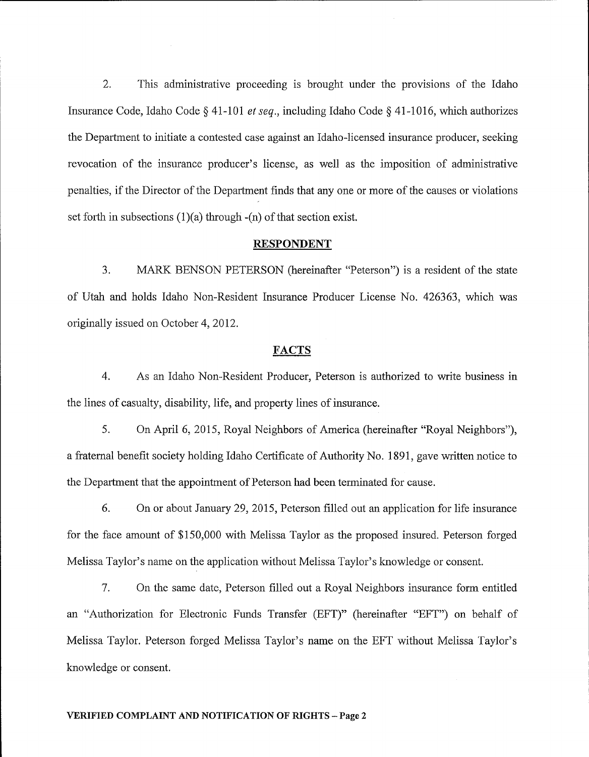2. This administrative proceeding is broughit under the provisions of the Idaho Insurance Code, Idaho Code  $\S$  41-101 *et seq.*, including Idaho Code  $\S$  41-1016, which authorizes the Department to initiate a contested case against an ldaho-licensed insurance producer, seeking revocation of the insurance producer's license, as well as the imposition of administrative penalties, if the Director of the Deparlment finds that any one or more of the causes or violations set forth in subsections  $(1)(a)$  through  $-(n)$  of that section exist.

#### RESPONDENT

3. MARK BENSON PETERSON (hereinafter "Peterson") is a resident of the state of Utah and holds Idaho Non-Resident Insurance Producer License No. 426363, which was originally issued on October 4,2012.

#### FACTS

4. As an Idaho Non-Resident Producer, Peterson is authorized to write business in the lines of casualty, disability, life, and property lines of insurance.

5. On April 6, 2015, Royal Neighbors of America (hereinafter "Royal Neighbors"), a fraternal benefit society holding Idaho Certificate of Authority No. 1891, gave written notice to the Department that the appointment of Peterson had been terminated for cause.

6. On or about January 29, 2015, Peterson filled out an application for life insurance for the face amount of \$150,000 with Melissa Taylor as the proposed insured. Peterson forged Melissa Taylor's name on the application without Melissa Taylor's knowledge or consent.

7. On the same date, Peterson filled out a Royal Neighbors insurance form entitled an "Authorization for Electronic Funds Transfer (EFT)" (hereinafter "EFT") on behalf of Melissa Taylor. Peterson forged Melissa Taylor's name on the EFT without Melissa Taylor's knowledge or consent.

#### VERIFIED COMPLAINT AND NOTIFICATION OF RIGHTS - Page 2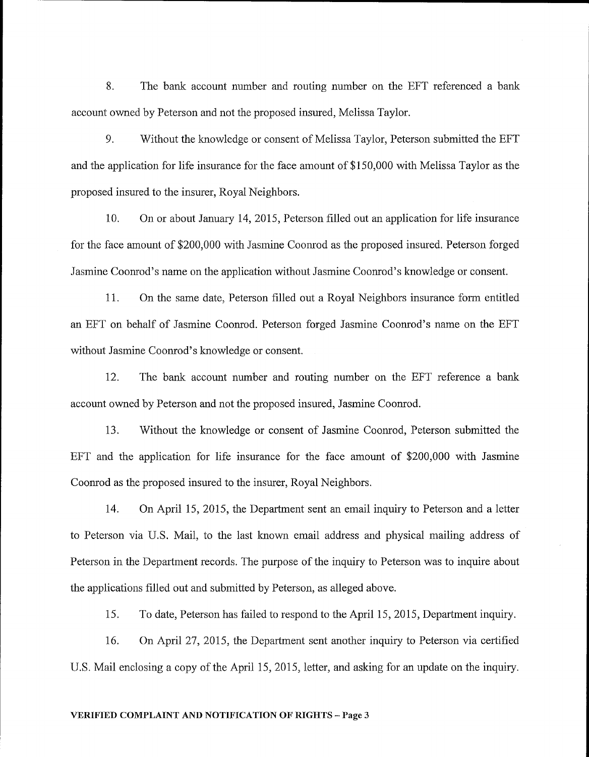8. The bank account number and routing number on the EFT referenced a bank account owned by Peterson and not the proposed insured, Melissa Taylor.

9. Without the knowledge or consent of Melissa Taylor, Peterson submitted the EFT and the application for life insurance for the face amount of \$150,000 with Melissa Taylor as the proposed insured to the insurer, Royal Neighbors.

10. On or about January 14,2015, Peterson filled out an application for life insurance for the face amount of \$200,000 with Jasmine Coonrod as the proposed insured. Peterson forged Jasmine Coonrod's name on the application without Jasmine Coonrod's knowledge or consent.

11. On the same date, Peterson filled out a Royal Neighbors insurance form entitled an EFT on behalf of Jasmine Coomod. Peterson forged Jasmine Coonrod's name on the EFT without Jasmine Coonrod's knowledge or consent.

12. The bank account number and routing number on the EFT reference a bank account owned by Peterson and not the proposed insured, Jasmine Coonrod.

13. Without the knowledge or consent of Jasmine Coonrod, Peterson submitted the EFT and the application for life insurance for the face amount of \$200,000 with Jasmine Coonrod as the proposed insured to the insurer, Royal Neighbors.

14. On April 15, 2015, the Department sent an email inquiry to Peterson and a letter to Peterson via U.S. Mail, to the last known email address and physical mailing address of Peterson in the Department records. The purpose of the inquiry to Peterson was to inquire about the applications filled out and submitted by Peterson, as alleged above.

i5. To date, Peterson has failed to respond to the April 15, 2015, Department inquiry.

16. On April 27, 2015, the Department sent another inquiry to Peterson via certified U.S. Mail enclosing a copy of the April 15, 2015, letter, and asking for an update on the inquiry.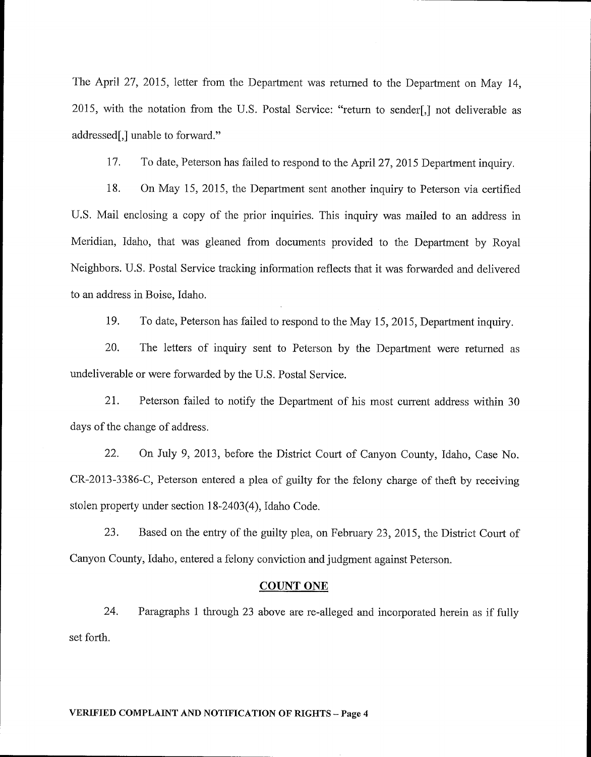The April 27, 2015, letter from the Department was returned to the Department on May 14, 2015, with the notation from the U.S. Postal Service: "return to sender[,] not deliverable as addressed[,] unable to forward."

17. To date, Peterson has failed to respond to the April 27, 2015 Department inquiry.

18. On May 15,2015, the Department sent another inquiry to Peterson via certified U.S. Mail enclosing a copy of the prior inquiries. This inquiry was mailed to an address in Meridian, Idaho, that was gleaned from documents provided to the Department by Royal Neighbors. U.S. Postal Service tracking information reflects that it was forwarded and delivered to an address in Boise, Idaho.

79. To date, Peterson has failed to respond to the May 15, 2015, Department inquiry.

20. The letters of inquiry sent to Peterson by the Department were returned as undeliverable or were forwarded by the U.S. Postal Service.

21. Peterson failed to notify the Department of his most cument address within <sup>30</sup> days of the change of address.

22. On Juiy 9,2013, before the District Court of Canyon County, Idaho, Case No. CR-2013-3386-C, Peterson entered a plea of guilty for the felony charge of theft by receiving stolen property under section 18-2403(4), Idaho Code.

23. Based on the entry of the guilty plea, on February 23, 2015, the District Court of Canyon County, Idaho, entered a felony conviction and judgment against Peterson.

#### couNT oNE

24. Paragraphs 1 through 23 above are re-alleged and incorporated herein as if fully set forth.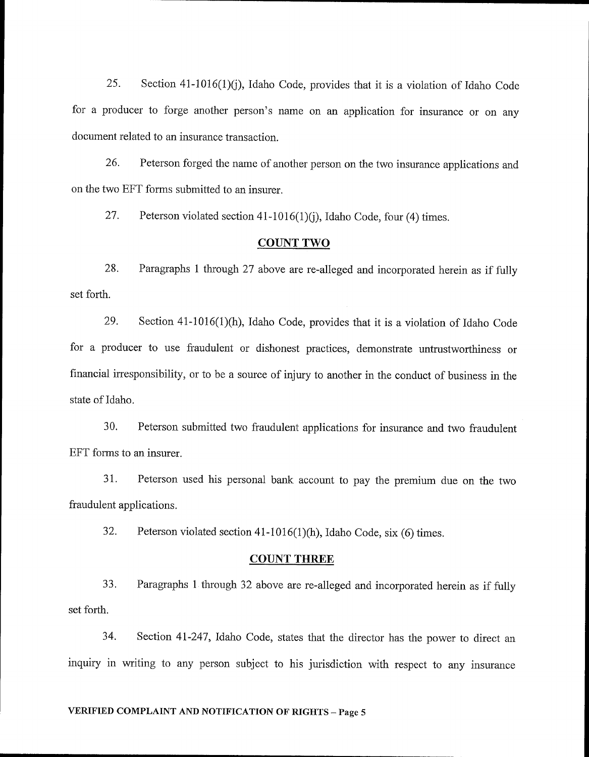25. Section 41-1016(1)(j), Idaho Code, provides that it is a violation of Idaho Code for a producer to forge another person's name on an application for insurance or on any document related to an insurance transaction.

26. Peterson forged the name of another person on the two insurance applications and on the two EFT forms submitted to an insurer.

27. Peterson violated section  $41-1016(1)(i)$ , Idaho Code, four (4) times.

#### COUNT TWO

28. Paragraphs 1 through 27 above are re-alleged and incorporated herein as if fully set forth.

29. Section 41-10i6(1)(h), Idaho Code, provides that it is a violation of Idaho Code for a producer to use fraudulent or dishonest practices, demonstrate untrustworthiness or financial irresponsibility, or to be a source of injury to another in the conduct of business in the state of ldaho,

30. Peterson submitted two fraudulent applications for insurance and two fraudulent EFT forms to an insurer.

31. Peterson used his personal bank account to pay the premium due on the two fraudulent applications.

32. Peterson violated section 41-1016(1)(h), Idaho Code, six (6) times.

## COUNT THREE

33. Paragraphs 1 through 32 above are re-alleged and incorporated herein as if fully set forth.

34. Section 4l-247,Idaho Code, states that the director has the power to direct an inquiry in writing to any person subject to his jurisdiction with respect to any insurance

#### VERIFIED COMPLAINT AND NOTIFICATION OF RIGHTS - Page 5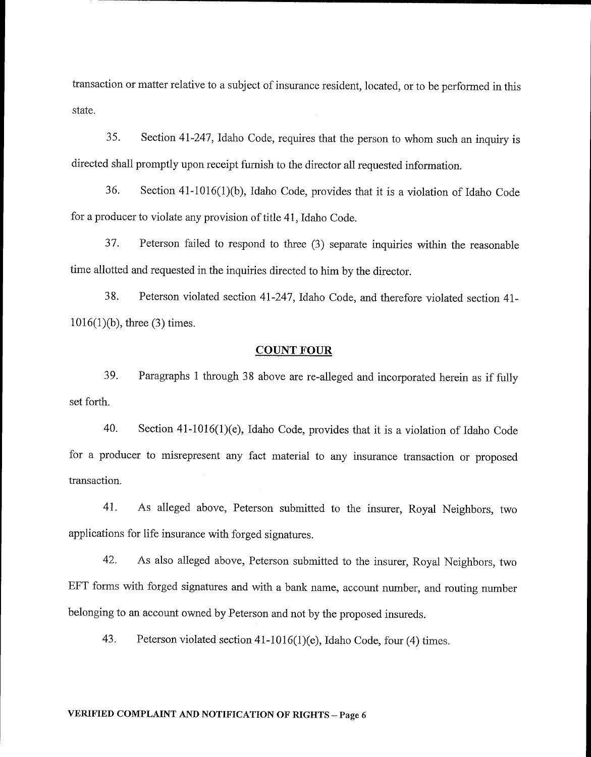transaction or matter relative to a subject of insurance resident, located, or to be performed in this state.

35. Section 4l-247,Idaho Code, requires that the person to whom such an inquiry is directed shall promptly upon receipt furnish to the director all requested information.

36. Section 41-1016(1)(b), Idaho Code, provides that it is a violation of Idaho Code for a producer to violate any provision of title 41, Idaho Code.

37. Peterson failed to respond to three (3) separate inquiries within the reasonable time allotted and requested in the inquiries directed to him by the director.

38. Peterson violated section 4l-247,Idaho Code, and therefore violated section 41-  $1016(1)(b)$ , three (3) times.

#### **COUNT FOUR**

39. Paragraphs 1 through 38 above are re-aileged and incorporated herein as if fully set forth.

40. Section 41-1016(1)(e), Idaho Code, provides that it is a violation of Idaho Code for a producer to misrepresent any fact material to any insurance transaction or proposed transaction.

41. As alleged above, Peterson submitted to the insurer, Royal Neighbors, two applications for life insurance with forged signatures.

42. As also alleged above, Peterson submitted to the insurer, Royal Neighbors, two EFT forms with forged signatures and with a bank name, account number, and routing number belonging to an account owned by Peterson and not by the proposed insureds.

43. Peterson violated section 41-1016(1)(e), Idaho code, four (4) times.

# VERIFIED COMPLAINT AND NOTIFICATION OF RIGHTS – Page 6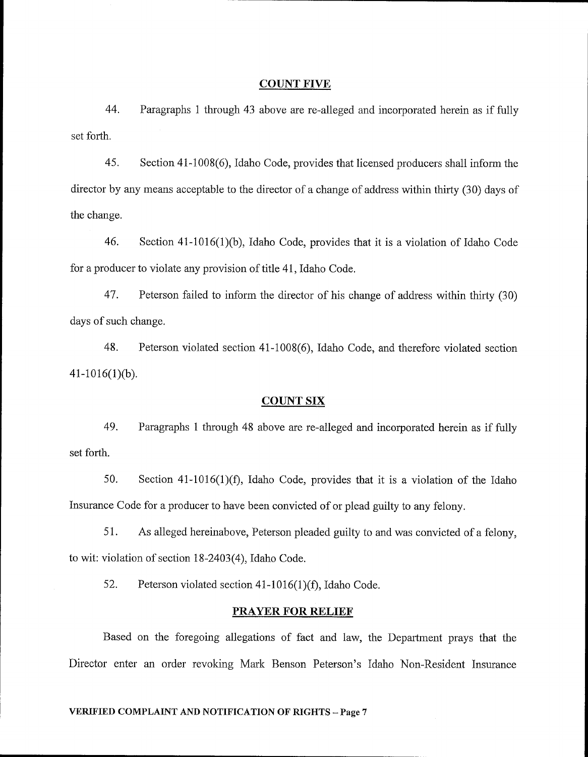#### **COUNT FIVE**

44. Paragraphs 1 through 43 above are re-alleged and incorporated herein as if fully set forth.

45. Section 41-1008(6), Idaho Code, provides that licensed producers shal1 inform the director by any means acceptable to the director of a change of address within thirty (30) days of the change.

46. Section 41-1016(1)(b), Idaho Code, provides that it is a violation of Idaho Code for a producer to violate any provision of title 41, Idaho Code.

47. Peterson failed to inform the director of his change of address within thirty (30) days of such change.

48. Peterson violated section 41-1008(6), ldaho Code, and therefore violated section  $41-1016(1)(b)$ .

#### **COUNT SIX**

49. Paragraphs 1 through 48 above are re-alleged and incorporated herein as if fully set forth.

50. Section 41-1016(1)(f), Idaho Code, provides that it is a violation of the Idaho Insurance Code for a producer to have been convicted of or plead guilty to any felony.

51. As alleged hereinabove, Peterson pleaded guilty to and was convicted of a felony, to wit: violation of section 18-2403(4), Idaho Code.

52. Peterson violated section  $41-1016(1)(f)$ , Idaho Code.

#### PRAYER FOR RELIEF

Based on the foregoing allegations of fact and law, the Department prays that the Director enter an order revoking Mark Benson Peterson's Idaho Non-Resident Insurance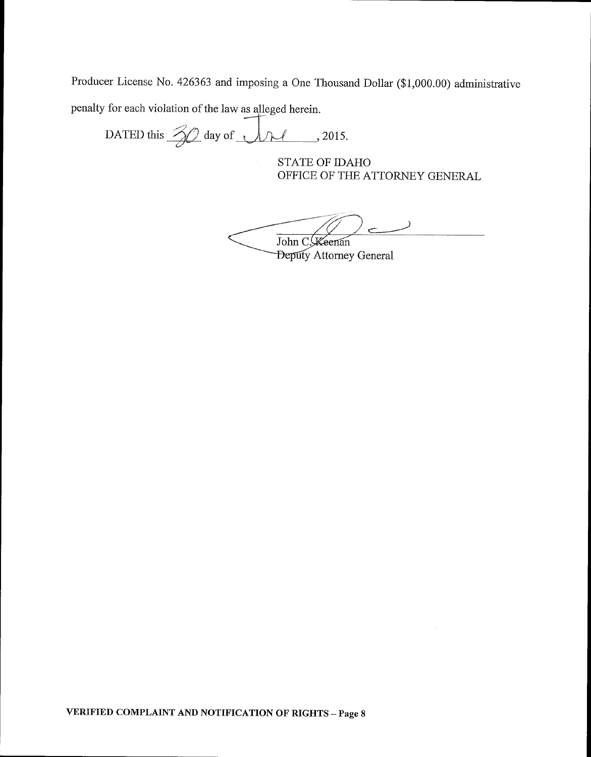Producer License No. 426363 and imposing a One Thousand Dollar (\$1,000.00) administrative penalty for each violation of the law as alleged herein.

DATED this  $\frac{2}{\sqrt{2}}$  day of  $\sqrt{\sqrt{2}}$ , 2015.

STATE OF IDAHO OFFICE OF THE ATTORNEY GENERAL

 $\prime$   $\rightarrow$ John C. Keenan

**Deputy Attorney General**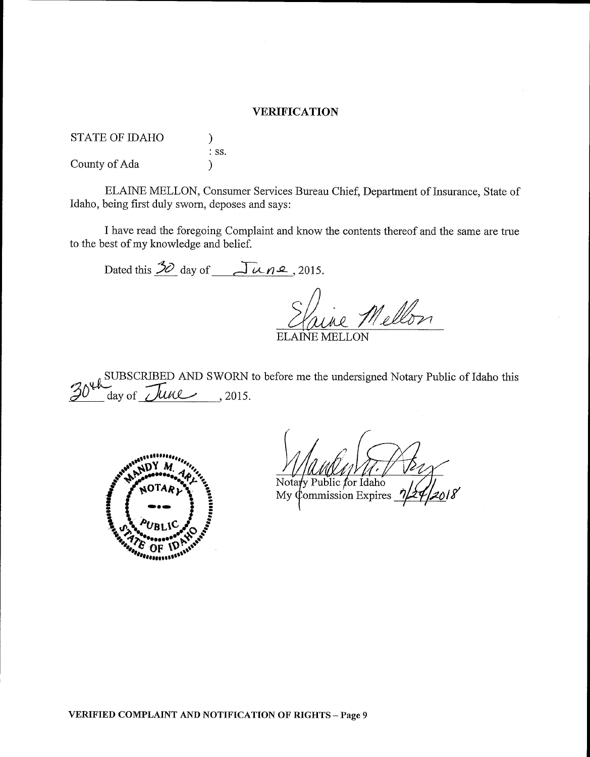#### **VERIFICATION**

STATE OF IDAHO ) : ss. County of Ada )

ELAINE MELLON, Consumer Services Bureau Chief, Department of Insurance, State of Idaho, being first duly sworn, deposes and says:

I have read the foregoing Complaint and know the contents thereof and the same are true to the best of my knowledge and belief.

Dated this  $\frac{3}{2}$  day of  $\sqrt{\frac{\mu}{2}}$ , 2015. e Mellon ELAINE MELLO

 $_{0}$  SUBSCRIBED AND SWORN to before me the undersigned Notary Public of Idaho this  $30<sup>4</sup>$  day of *June*, 2015.



Notary Public for Idaho<br>My Commission Expires

YERIFIED COMPLAINT AND NOTIFICATION OF RIGHTS-Page 9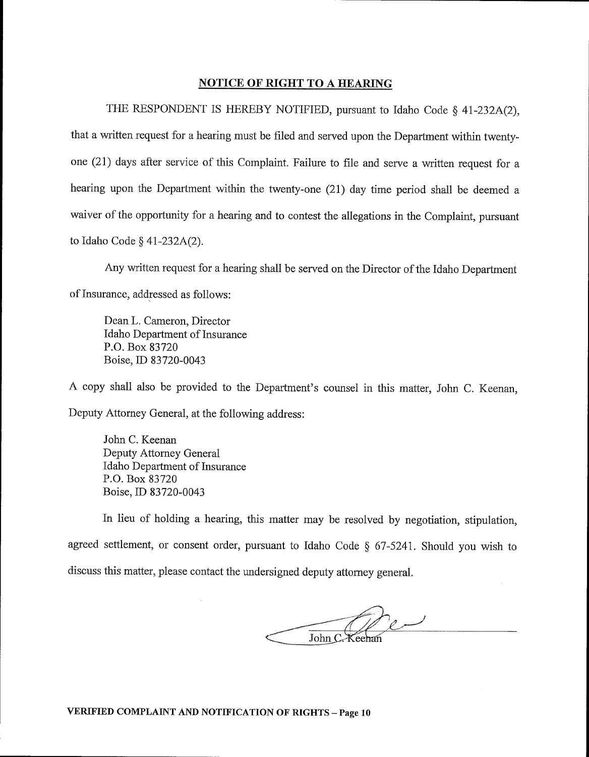#### NOTICE OF RIGHT TO A HEARING

THE RESPONDENT IS HEREBY NOTIFIED, pursuant to Idaho Code  $\S$  41-232A(2), that a written request for a hearing must be filed and served upon the Department within twentyone (21) days after service of this Complaint. Failure to file and serve a written request for <sup>a</sup> hearing upon the Department within the twenty-one (21) day time period shall be deemed <sup>a</sup> waiver of the opportunity for a hearing and to contest the allegations in the Complaint, pursuant to Idaho Code  $\S$  41-232A(2).

Any written request for a hearing shall be served on the Director of the Idaho Department of Insurance, addressed as follows:

Dean L. Cameron, Director Idaho Department of lnsurance P.O. Box 83720 Boise, ID 83720-0043

A copy shall also be provided to the Department's counsel in this matter, John C. Keenan, Deputy Attorney General, at the following address:

John C. Keenan Deputy Attomey General Idaho Department of Insurance P.O. Box 83720 Boise,ID 83720-0043

In lieu of holding a hearing, this matter may be resolved by negotiation, stipulation, agreed settlement, or consent order, pursuant to Idaho Code  $\S$  67-5241. Should you wish to discuss this matter, please contact the undersigned deputy attorney general.

John C. Keehai